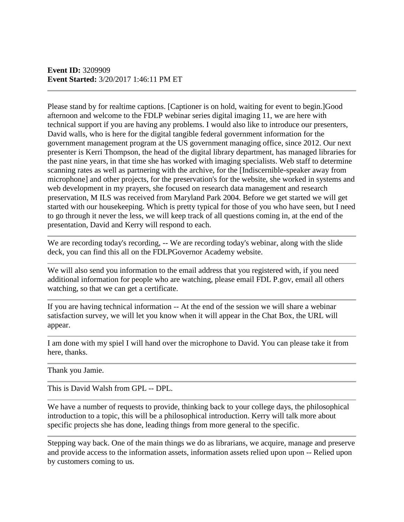Please stand by for realtime captions. [Captioner is on hold, waiting for event to begin.]Good afternoon and welcome to the FDLP webinar series digital imaging 11, we are here with technical support if you are having any problems. I would also like to introduce our presenters, David walls, who is here for the digital tangible federal government information for the government management program at the US government managing office, since 2012. Our next presenter is Kerri Thompson, the head of the digital library department, has managed libraries for the past nine years, in that time she has worked with imaging specialists. Web staff to determine scanning rates as well as partnering with the archive, for the [Indiscernible-speaker away from microphone] and other projects, for the preservation's for the website, she worked in systems and web development in my prayers, she focused on research data management and research preservation, M ILS was received from Maryland Park 2004. Before we get started we will get started with our housekeeping. Which is pretty typical for those of you who have seen, but I need to go through it never the less, we will keep track of all questions coming in, at the end of the presentation, David and Kerry will respond to each.

We are recording today's recording, -- We are recording today's webinar, along with the slide deck, you can find this all on the FDLPGovernor Academy website.

We will also send you information to the email address that you registered with, if you need additional information for people who are watching, please email FDL P.gov, email all others watching, so that we can get a certificate.

If you are having technical information -- At the end of the session we will share a webinar satisfaction survey, we will let you know when it will appear in the Chat Box, the URL will appear.

I am done with my spiel I will hand over the microphone to David. You can please take it from here, thanks.

Thank you Jamie.

This is David Walsh from GPL -- DPL.

We have a number of requests to provide, thinking back to your college days, the philosophical introduction to a topic, this will be a philosophical introduction. Kerry will talk more about specific projects she has done, leading things from more general to the specific.

Stepping way back. One of the main things we do as librarians, we acquire, manage and preserve and provide access to the information assets, information assets relied upon upon -- Relied upon by customers coming to us.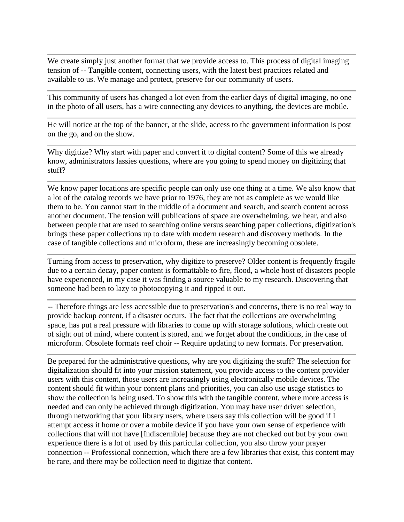We create simply just another format that we provide access to. This process of digital imaging tension of -- Tangible content, connecting users, with the latest best practices related and available to us. We manage and protect, preserve for our community of users.

This community of users has changed a lot even from the earlier days of digital imaging, no one in the photo of all users, has a wire connecting any devices to anything, the devices are mobile.

He will notice at the top of the banner, at the slide, access to the government information is post on the go, and on the show.

Why digitize? Why start with paper and convert it to digital content? Some of this we already know, administrators lassies questions, where are you going to spend money on digitizing that stuff?

We know paper locations are specific people can only use one thing at a time. We also know that a lot of the catalog records we have prior to 1976, they are not as complete as we would like them to be. You cannot start in the middle of a document and search, and search content across another document. The tension will publications of space are overwhelming, we hear, and also between people that are used to searching online versus searching paper collections, digitization's brings these paper collections up to date with modern research and discovery methods. In the case of tangible collections and microform, these are increasingly becoming obsolete.

Turning from access to preservation, why digitize to preserve? Older content is frequently fragile due to a certain decay, paper content is formattable to fire, flood, a whole host of disasters people have experienced, in my case it was finding a source valuable to my research. Discovering that someone had been to lazy to photocopying it and ripped it out.

-- Therefore things are less accessible due to preservation's and concerns, there is no real way to provide backup content, if a disaster occurs. The fact that the collections are overwhelming space, has put a real pressure with libraries to come up with storage solutions, which create out of sight out of mind, where content is stored, and we forget about the conditions, in the case of microform. Obsolete formats reef choir -- Require updating to new formats. For preservation.

Be prepared for the administrative questions, why are you digitizing the stuff? The selection for digitalization should fit into your mission statement, you provide access to the content provider users with this content, those users are increasingly using electronically mobile devices. The content should fit within your content plans and priorities, you can also use usage statistics to show the collection is being used. To show this with the tangible content, where more access is needed and can only be achieved through digitization. You may have user driven selection, through networking that your library users, where users say this collection will be good if I attempt access it home or over a mobile device if you have your own sense of experience with collections that will not have [Indiscernible] because they are not checked out but by your own experience there is a lot of used by this particular collection, you also throw your prayer connection -- Professional connection, which there are a few libraries that exist, this content may be rare, and there may be collection need to digitize that content.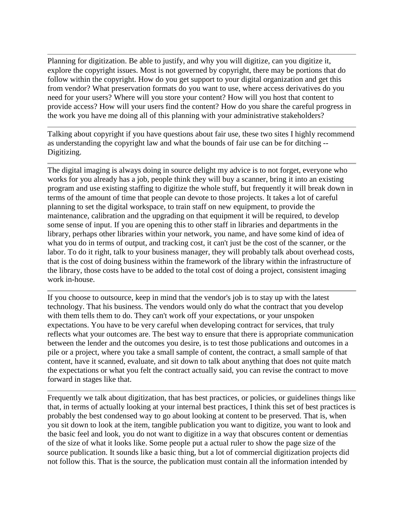Planning for digitization. Be able to justify, and why you will digitize, can you digitize it, explore the copyright issues. Most is not governed by copyright, there may be portions that do follow within the copyright. How do you get support to your digital organization and get this from vendor? What preservation formats do you want to use, where access derivatives do you need for your users? Where will you store your content? How will you host that content to provide access? How will your users find the content? How do you share the careful progress in the work you have me doing all of this planning with your administrative stakeholders?

Talking about copyright if you have questions about fair use, these two sites I highly recommend as understanding the copyright law and what the bounds of fair use can be for ditching -- Digitizing.

The digital imaging is always doing in source delight my advice is to not forget, everyone who works for you already has a job, people think they will buy a scanner, bring it into an existing program and use existing staffing to digitize the whole stuff, but frequently it will break down in terms of the amount of time that people can devote to those projects. It takes a lot of careful planning to set the digital workspace, to train staff on new equipment, to provide the maintenance, calibration and the upgrading on that equipment it will be required, to develop some sense of input. If you are opening this to other staff in libraries and departments in the library, perhaps other libraries within your network, you name, and have some kind of idea of what you do in terms of output, and tracking cost, it can't just be the cost of the scanner, or the labor. To do it right, talk to your business manager, they will probably talk about overhead costs, that is the cost of doing business within the framework of the library within the infrastructure of the library, those costs have to be added to the total cost of doing a project, consistent imaging work in-house.

If you choose to outsource, keep in mind that the vendor's job is to stay up with the latest technology. That his business. The vendors would only do what the contract that you develop with them tells them to do. They can't work off your expectations, or your unspoken expectations. You have to be very careful when developing contract for services, that truly reflects what your outcomes are. The best way to ensure that there is appropriate communication between the lender and the outcomes you desire, is to test those publications and outcomes in a pile or a project, where you take a small sample of content, the contract, a small sample of that content, have it scanned, evaluate, and sit down to talk about anything that does not quite match the expectations or what you felt the contract actually said, you can revise the contract to move forward in stages like that.

Frequently we talk about digitization, that has best practices, or policies, or guidelines things like that, in terms of actually looking at your internal best practices, I think this set of best practices is probably the best condensed way to go about looking at content to be preserved. That is, when you sit down to look at the item, tangible publication you want to digitize, you want to look and the basic feel and look, you do not want to digitize in a way that obscures content or dementias of the size of what it looks like. Some people put a actual ruler to show the page size of the source publication. It sounds like a basic thing, but a lot of commercial digitization projects did not follow this. That is the source, the publication must contain all the information intended by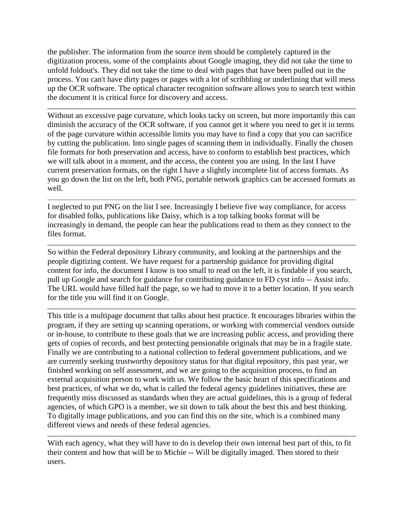the publisher. The information from the source item should be completely captured in the digitization process, some of the complaints about Google imaging, they did not take the time to unfold foldout's. They did not take the time to deal with pages that have been pulled out in the process. You can't have dirty pages or pages with a lot of scribbling or underlining that will mess up the OCR software. The optical character recognition software allows you to search text within the document it is critical force for discovery and access.

Without an excessive page curvature, which looks tacky on screen, but more importantly this can diminish the accuracy of the OCR software, if you cannot get it where you need to get it in terms of the page curvature within accessible limits you may have to find a copy that you can sacrifice by cutting the publication. Into single pages of scanning them in individually. Finally the chosen file formats for both preservation and access, have to conform to establish best practices, which we will talk about in a moment, and the access, the content you are using. In the last I have current preservation formats, on the right I have a slightly incomplete list of access formats. As you go down the list on the left, both PNG, portable network graphics can be accessed formats as well.

I neglected to put PNG on the list I see. Increasingly I believe five way compliance, for access for disabled folks, publications like Daisy, which is a top talking books format will be increasingly in demand, the people can hear the publications read to them as they connect to the files format.

So within the Federal depository Library community, and looking at the partnerships and the people digitizing content. We have request for a partnership guidance for providing digital content for info, the document I know is too small to read on the left, it is findable if you search, pull up Google and search for guidance for contributing guidance to FD cyst info -- Assist info. The URL would have filled half the page, so we had to move it to a better location. If you search for the title you will find it on Google.

This title is a multipage document that talks about best practice. It encourages libraries within the program, if they are setting up scanning operations, or working with commercial vendors outside or in-house, to contribute to these goals that we are increasing public access, and providing there gets of copies of records, and best protecting pensionable originals that may be in a fragile state. Finally we are contributing to a national collection to federal government publications, and we are currently seeking trustworthy depository status for that digital repository, this past year, we finished working on self assessment, and we are going to the acquisition process, to find an external acquisition person to work with us. We follow the basic heart of this specifications and best practices, of what we do, what is called the federal agency guidelines initiatives, these are frequently miss discussed as standards when they are actual guidelines, this is a group of federal agencies, of which GPO is a member, we sit down to talk about the best this and best thinking. To digitally image publications, and you can find this on the site, which is a combined many different views and needs of these federal agencies.

With each agency, what they will have to do is develop their own internal best part of this, to fit their content and how that will be to Michie -- Will be digitally imaged. Then stored to their users.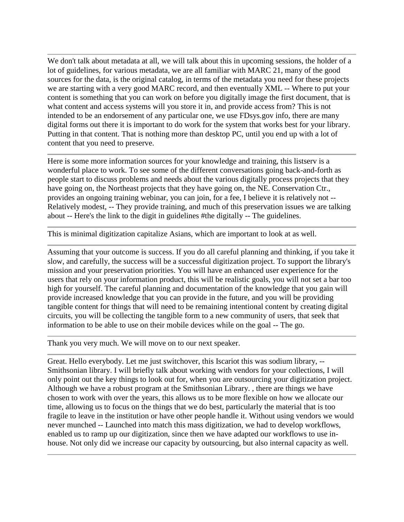We don't talk about metadata at all, we will talk about this in upcoming sessions, the holder of a lot of guidelines, for various metadata, we are all familiar with MARC 21, many of the good sources for the data, is the original catalog, in terms of the metadata you need for these projects we are starting with a very good MARC record, and then eventually XML -- Where to put your content is something that you can work on before you digitally image the first document, that is what content and access systems will you store it in, and provide access from? This is not intended to be an endorsement of any particular one, we use FDsys.gov info, there are many digital forms out there it is important to do work for the system that works best for your library. Putting in that content. That is nothing more than desktop PC, until you end up with a lot of content that you need to preserve.

Here is some more information sources for your knowledge and training, this listserv is a wonderful place to work. To see some of the different conversations going back-and-forth as people start to discuss problems and needs about the various digitally process projects that they have going on, the Northeast projects that they have going on, the NE. Conservation Ctr., provides an ongoing training webinar, you can join, for a fee, I believe it is relatively not -- Relatively modest, -- They provide training, and much of this preservation issues we are talking about -- Here's the link to the digit in guidelines #the digitally -- The guidelines.

This is minimal digitization capitalize Asians, which are important to look at as well.

Assuming that your outcome is success. If you do all careful planning and thinking, if you take it slow, and carefully, the success will be a successful digitization project. To support the library's mission and your preservation priorities. You will have an enhanced user experience for the users that rely on your information product, this will be realistic goals, you will not set a bar too high for yourself. The careful planning and documentation of the knowledge that you gain will provide increased knowledge that you can provide in the future, and you will be providing tangible content for things that will need to be remaining intentional content by creating digital circuits, you will be collecting the tangible form to a new community of users, that seek that information to be able to use on their mobile devices while on the goal -- The go.

Thank you very much. We will move on to our next speaker.

Great. Hello everybody. Let me just switchover, this Iscariot this was sodium library, -- Smithsonian library. I will briefly talk about working with vendors for your collections, I will only point out the key things to look out for, when you are outsourcing your digitization project. Although we have a robust program at the Smithsonian Library. , there are things we have chosen to work with over the years, this allows us to be more flexible on how we allocate our time, allowing us to focus on the things that we do best, particularly the material that is too fragile to leave in the institution or have other people handle it. Without using vendors we would never munched -- Launched into match this mass digitization, we had to develop workflows, enabled us to ramp up our digitization, since then we have adapted our workflows to use inhouse. Not only did we increase our capacity by outsourcing, but also internal capacity as well.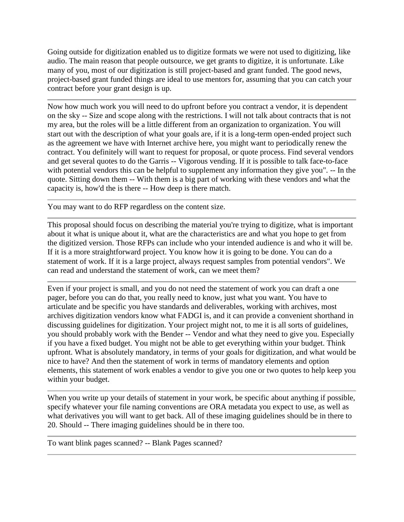Going outside for digitization enabled us to digitize formats we were not used to digitizing, like audio. The main reason that people outsource, we get grants to digitize, it is unfortunate. Like many of you, most of our digitization is still project-based and grant funded. The good news, project-based grant funded things are ideal to use mentors for, assuming that you can catch your contract before your grant design is up.

Now how much work you will need to do upfront before you contract a vendor, it is dependent on the sky -- Size and scope along with the restrictions. I will not talk about contracts that is not my area, but the roles will be a little different from an organization to organization. You will start out with the description of what your goals are, if it is a long-term open-ended project such as the agreement we have with Internet archive here, you might want to periodically renew the contract. You definitely will want to request for proposal, or quote process. Find several vendors and get several quotes to do the Garris -- Vigorous vending. If it is possible to talk face-to-face with potential vendors this can be helpful to supplement any information they give you". -- In the quote. Sitting down them -- With them is a big part of working with these vendors and what the capacity is, how'd the is there -- How deep is there match.

You may want to do RFP regardless on the content size.

This proposal should focus on describing the material you're trying to digitize, what is important about it what is unique about it, what are the characteristics are and what you hope to get from the digitized version. Those RFPs can include who your intended audience is and who it will be. If it is a more straightforward project. You know how it is going to be done. You can do a statement of work. If it is a large project, always request samples from potential vendors". We can read and understand the statement of work, can we meet them?

Even if your project is small, and you do not need the statement of work you can draft a one pager, before you can do that, you really need to know, just what you want. You have to articulate and be specific you have standards and deliverables, working with archives, most archives digitization vendors know what FADGI is, and it can provide a convenient shorthand in discussing guidelines for digitization. Your project might not, to me it is all sorts of guidelines, you should probably work with the Bender -- Vendor and what they need to give you. Especially if you have a fixed budget. You might not be able to get everything within your budget. Think upfront. What is absolutely mandatory, in terms of your goals for digitization, and what would be nice to have? And then the statement of work in terms of mandatory elements and option elements, this statement of work enables a vendor to give you one or two quotes to help keep you within your budget.

When you write up your details of statement in your work, be specific about anything if possible, specify whatever your file naming conventions are ORA metadata you expect to use, as well as what derivatives you will want to get back. All of these imaging guidelines should be in there to 20. Should -- There imaging guidelines should be in there too.

To want blink pages scanned? -- Blank Pages scanned?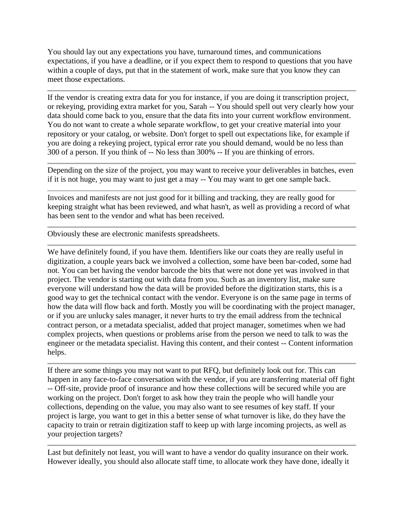You should lay out any expectations you have, turnaround times, and communications expectations, if you have a deadline, or if you expect them to respond to questions that you have within a couple of days, put that in the statement of work, make sure that you know they can meet those expectations.

If the vendor is creating extra data for you for instance, if you are doing it transcription project, or rekeying, providing extra market for you, Sarah -- You should spell out very clearly how your data should come back to you, ensure that the data fits into your current workflow environment. You do not want to create a whole separate workflow, to get your creative material into your repository or your catalog, or website. Don't forget to spell out expectations like, for example if you are doing a rekeying project, typical error rate you should demand, would be no less than 300 of a person. If you think of -- No less than 300% -- If you are thinking of errors.

Depending on the size of the project, you may want to receive your deliverables in batches, even if it is not huge, you may want to just get a may -- You may want to get one sample back.

Invoices and manifests are not just good for it billing and tracking, they are really good for keeping straight what has been reviewed, and what hasn't, as well as providing a record of what has been sent to the vendor and what has been received.

Obviously these are electronic manifests spreadsheets.

We have definitely found, if you have them. Identifiers like our coats they are really useful in digitization, a couple years back we involved a collection, some have been bar-coded, some had not. You can bet having the vendor barcode the bits that were not done yet was involved in that project. The vendor is starting out with data from you. Such as an inventory list, make sure everyone will understand how the data will be provided before the digitization starts, this is a good way to get the technical contact with the vendor. Everyone is on the same page in terms of how the data will flow back and forth. Mostly you will be coordinating with the project manager, or if you are unlucky sales manager, it never hurts to try the email address from the technical contract person, or a metadata specialist, added that project manager, sometimes when we had complex projects, when questions or problems arise from the person we need to talk to was the engineer or the metadata specialist. Having this content, and their contest -- Content information helps.

If there are some things you may not want to put RFQ, but definitely look out for. This can happen in any face-to-face conversation with the vendor, if you are transferring material off fight -- Off-site, provide proof of insurance and how these collections will be secured while you are working on the project. Don't forget to ask how they train the people who will handle your collections, depending on the value, you may also want to see resumes of key staff. If your project is large, you want to get in this a better sense of what turnover is like, do they have the capacity to train or retrain digitization staff to keep up with large incoming projects, as well as your projection targets?

Last but definitely not least, you will want to have a vendor do quality insurance on their work. However ideally, you should also allocate staff time, to allocate work they have done, ideally it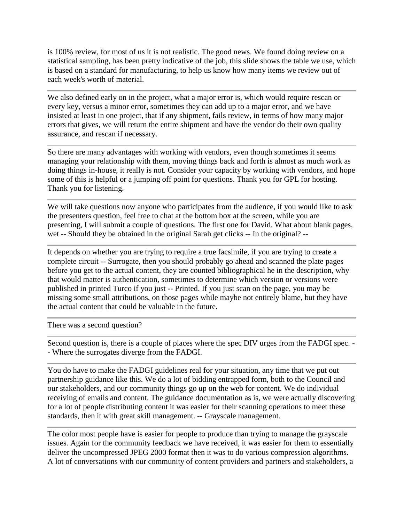is 100% review, for most of us it is not realistic. The good news. We found doing review on a statistical sampling, has been pretty indicative of the job, this slide shows the table we use, which is based on a standard for manufacturing, to help us know how many items we review out of each week's worth of material.

We also defined early on in the project, what a major error is, which would require rescan or every key, versus a minor error, sometimes they can add up to a major error, and we have insisted at least in one project, that if any shipment, fails review, in terms of how many major errors that gives, we will return the entire shipment and have the vendor do their own quality assurance, and rescan if necessary.

So there are many advantages with working with vendors, even though sometimes it seems managing your relationship with them, moving things back and forth is almost as much work as doing things in-house, it really is not. Consider your capacity by working with vendors, and hope some of this is helpful or a jumping off point for questions. Thank you for GPL for hosting. Thank you for listening.

We will take questions now anyone who participates from the audience, if you would like to ask the presenters question, feel free to chat at the bottom box at the screen, while you are presenting, I will submit a couple of questions. The first one for David. What about blank pages, wet -- Should they be obtained in the original Sarah get clicks -- In the original? --

It depends on whether you are trying to require a true facsimile, if you are trying to create a complete circuit -- Surrogate, then you should probably go ahead and scanned the plate pages before you get to the actual content, they are counted bibliographical he in the description, why that would matter is authentication, sometimes to determine which version or versions were published in printed Turco if you just -- Printed. If you just scan on the page, you may be missing some small attributions, on those pages while maybe not entirely blame, but they have the actual content that could be valuable in the future.

There was a second question?

Second question is, there is a couple of places where the spec DIV urges from the FADGI spec. - - Where the surrogates diverge from the FADGI.

You do have to make the FADGI guidelines real for your situation, any time that we put out partnership guidance like this. We do a lot of bidding entrapped form, both to the Council and our stakeholders, and our community things go up on the web for content. We do individual receiving of emails and content. The guidance documentation as is, we were actually discovering for a lot of people distributing content it was easier for their scanning operations to meet these standards, then it with great skill management. -- Grayscale management.

The color most people have is easier for people to produce than trying to manage the grayscale issues. Again for the community feedback we have received, it was easier for them to essentially deliver the uncompressed JPEG 2000 format then it was to do various compression algorithms. A lot of conversations with our community of content providers and partners and stakeholders, a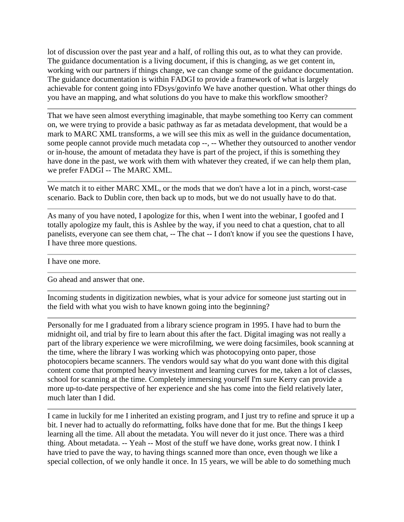lot of discussion over the past year and a half, of rolling this out, as to what they can provide. The guidance documentation is a living document, if this is changing, as we get content in, working with our partners if things change, we can change some of the guidance documentation. The guidance documentation is within FADGI to provide a framework of what is largely achievable for content going into FDsys/govinfo We have another question. What other things do you have an mapping, and what solutions do you have to make this workflow smoother?

That we have seen almost everything imaginable, that maybe something too Kerry can comment on, we were trying to provide a basic pathway as far as metadata development, that would be a mark to MARC XML transforms, a we will see this mix as well in the guidance documentation, some people cannot provide much metadata cop --, -- Whether they outsourced to another vendor or in-house, the amount of metadata they have is part of the project, if this is something they have done in the past, we work with them with whatever they created, if we can help them plan, we prefer FADGI -- The MARC XML.

We match it to either MARC XML, or the mods that we don't have a lot in a pinch, worst-case scenario. Back to Dublin core, then back up to mods, but we do not usually have to do that.

As many of you have noted, I apologize for this, when I went into the webinar, I goofed and I totally apologize my fault, this is Ashlee by the way, if you need to chat a question, chat to all panelists, everyone can see them chat, -- The chat -- I don't know if you see the questions I have, I have three more questions.

I have one more.

Go ahead and answer that one.

Incoming students in digitization newbies, what is your advice for someone just starting out in the field with what you wish to have known going into the beginning?

Personally for me I graduated from a library science program in 1995. I have had to burn the midnight oil, and trial by fire to learn about this after the fact. Digital imaging was not really a part of the library experience we were microfilming, we were doing facsimiles, book scanning at the time, where the library I was working which was photocopying onto paper, those photocopiers became scanners. The vendors would say what do you want done with this digital content come that prompted heavy investment and learning curves for me, taken a lot of classes, school for scanning at the time. Completely immersing yourself I'm sure Kerry can provide a more up-to-date perspective of her experience and she has come into the field relatively later, much later than I did.

I came in luckily for me I inherited an existing program, and I just try to refine and spruce it up a bit. I never had to actually do reformatting, folks have done that for me. But the things I keep learning all the time. All about the metadata. You will never do it just once. There was a third thing. About metadata. -- Yeah -- Most of the stuff we have done, works great now. I think I have tried to pave the way, to having things scanned more than once, even though we like a special collection, of we only handle it once. In 15 years, we will be able to do something much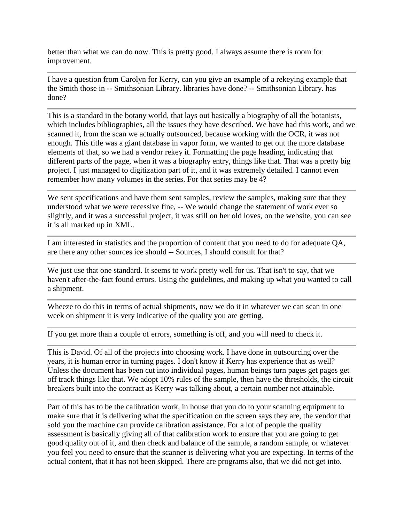better than what we can do now. This is pretty good. I always assume there is room for improvement.

I have a question from Carolyn for Kerry, can you give an example of a rekeying example that the Smith those in -- Smithsonian Library. libraries have done? -- Smithsonian Library. has done?

This is a standard in the botany world, that lays out basically a biography of all the botanists, which includes bibliographies, all the issues they have described. We have had this work, and we scanned it, from the scan we actually outsourced, because working with the OCR, it was not enough. This title was a giant database in vapor form, we wanted to get out the more database elements of that, so we had a vendor rekey it. Formatting the page heading, indicating that different parts of the page, when it was a biography entry, things like that. That was a pretty big project. I just managed to digitization part of it, and it was extremely detailed. I cannot even remember how many volumes in the series. For that series may be 4?

We sent specifications and have them sent samples, review the samples, making sure that they understood what we were recessive fine, -- We would change the statement of work ever so slightly, and it was a successful project, it was still on her old loves, on the website, you can see it is all marked up in XML.

I am interested in statistics and the proportion of content that you need to do for adequate QA, are there any other sources ice should -- Sources, I should consult for that?

We just use that one standard. It seems to work pretty well for us. That isn't to say, that we haven't after-the-fact found errors. Using the guidelines, and making up what you wanted to call a shipment.

Wheeze to do this in terms of actual shipments, now we do it in whatever we can scan in one week on shipment it is very indicative of the quality you are getting.

If you get more than a couple of errors, something is off, and you will need to check it.

This is David. Of all of the projects into choosing work. I have done in outsourcing over the years, it is human error in turning pages. I don't know if Kerry has experience that as well? Unless the document has been cut into individual pages, human beings turn pages get pages get off track things like that. We adopt 10% rules of the sample, then have the thresholds, the circuit breakers built into the contract as Kerry was talking about, a certain number not attainable.

Part of this has to be the calibration work, in house that you do to your scanning equipment to make sure that it is delivering what the specification on the screen says they are, the vendor that sold you the machine can provide calibration assistance. For a lot of people the quality assessment is basically giving all of that calibration work to ensure that you are going to get good quality out of it, and then check and balance of the sample, a random sample, or whatever you feel you need to ensure that the scanner is delivering what you are expecting. In terms of the actual content, that it has not been skipped. There are programs also, that we did not get into.